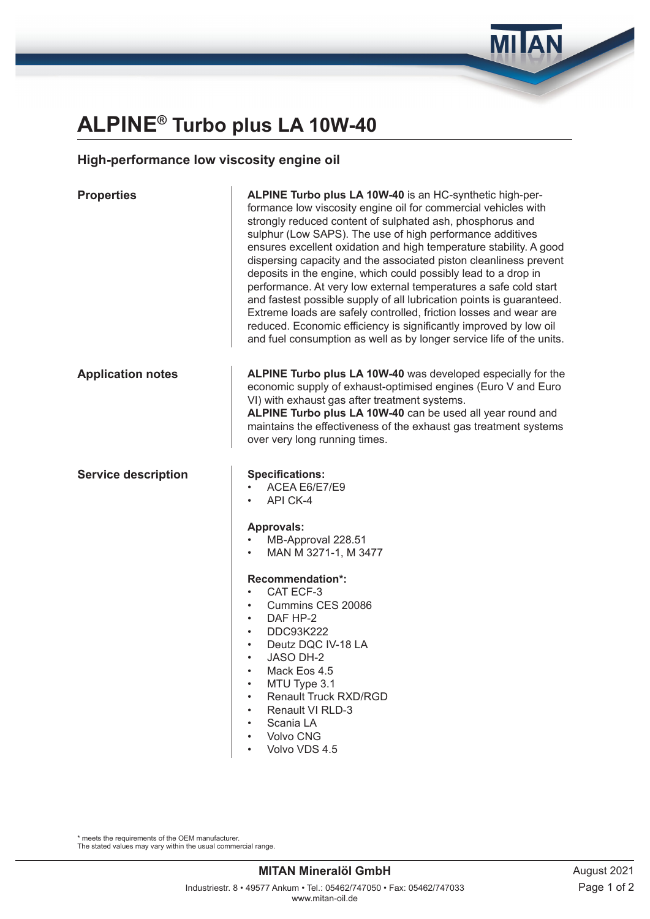## **ALPINE® Turbo plus LA 10W-40**

## **High-performance low viscosity engine oil**

| <b>Properties</b>          | ALPINE Turbo plus LA 10W-40 is an HC-synthetic high-per-<br>formance low viscosity engine oil for commercial vehicles with<br>strongly reduced content of sulphated ash, phosphorus and<br>sulphur (Low SAPS). The use of high performance additives<br>ensures excellent oxidation and high temperature stability. A good<br>dispersing capacity and the associated piston cleanliness prevent<br>deposits in the engine, which could possibly lead to a drop in<br>performance. At very low external temperatures a safe cold start<br>and fastest possible supply of all lubrication points is guaranteed.<br>Extreme loads are safely controlled, friction losses and wear are<br>reduced. Economic efficiency is significantly improved by low oil<br>and fuel consumption as well as by longer service life of the units. |  |  |
|----------------------------|---------------------------------------------------------------------------------------------------------------------------------------------------------------------------------------------------------------------------------------------------------------------------------------------------------------------------------------------------------------------------------------------------------------------------------------------------------------------------------------------------------------------------------------------------------------------------------------------------------------------------------------------------------------------------------------------------------------------------------------------------------------------------------------------------------------------------------|--|--|
| <b>Application notes</b>   | ALPINE Turbo plus LA 10W-40 was developed especially for the<br>economic supply of exhaust-optimised engines (Euro V and Euro<br>VI) with exhaust gas after treatment systems.<br>ALPINE Turbo plus LA 10W-40 can be used all year round and<br>maintains the effectiveness of the exhaust gas treatment systems<br>over very long running times.                                                                                                                                                                                                                                                                                                                                                                                                                                                                               |  |  |
| <b>Service description</b> | <b>Specifications:</b><br>ACEA E6/E7/E9<br>API CK-4<br><b>Approvals:</b><br>MB-Approval 228.51<br>MAN M 3271-1, M 3477<br>Recommendation*:<br>CAT ECF-3<br>$\bullet$<br>Cummins CES 20086<br>DAF HP-2<br>$\bullet$<br><b>DDC93K222</b><br>$\bullet$<br>Deutz DQC IV-18 LA<br>JASO DH-2<br>$\bullet$<br>Mack Eos 4.5<br>MTU Type 3.1<br>Renault Truck RXD/RGD<br>Renault VI RLD-3<br>Scania LA<br>Volvo CNG<br>Volvo VDS 4.5                                                                                                                                                                                                                                                                                                                                                                                                     |  |  |

\* meets the requirements of the OEM manufacturer. The stated values may vary within the usual commercial range. **MILAN**